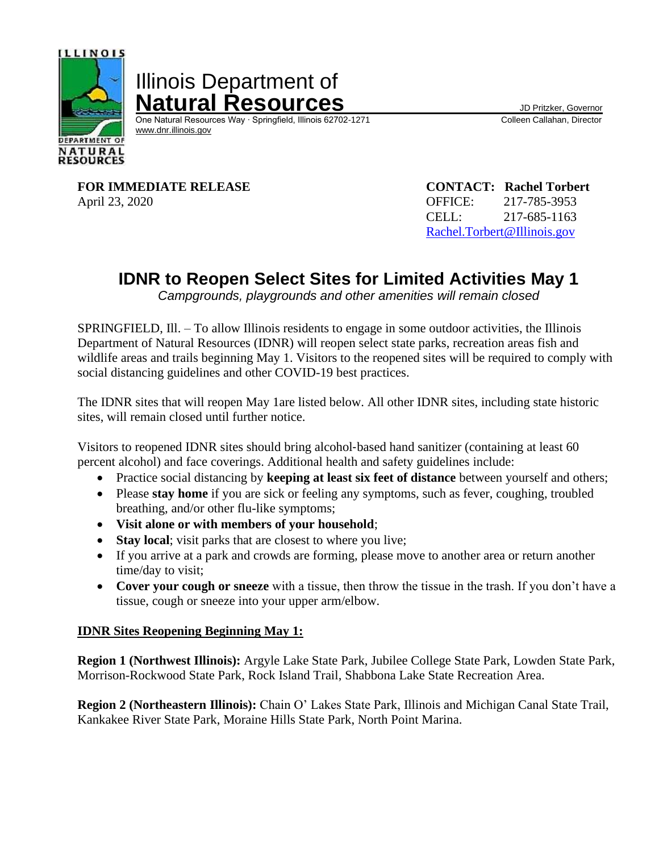

Illinois Department of **Natural Resources**<br>
One Natural Resources Way · Springfield, Illinois 62702-1271 Colleen Callahan, Director

One Natural Resources Way ⋅ Springfield, Illinois 62702-1271 [www.dnr.illinois.gov](http://www.dnr.illinois.gov/)

**FOR IMMEDIATE RELEASE CONTACT: Rachel Torbert** April 23, 2020 **OFFICE:** 217-785-3953

CELL: 217-685-1163 [Rachel.Torbert@Illinois.gov](mailto:Rachel.Torbert@Illinois.gov)

## **IDNR to Reopen Select Sites for Limited Activities May 1**

*Campgrounds, playgrounds and other amenities will remain closed*

SPRINGFIELD, Ill. – To allow Illinois residents to engage in some outdoor activities, the Illinois Department of Natural Resources (IDNR) will reopen select state parks, recreation areas fish and wildlife areas and trails beginning May 1. Visitors to the reopened sites will be required to comply with social distancing guidelines and other COVID-19 best practices.

The IDNR sites that will reopen May 1are listed below. All other IDNR sites, including state historic sites, will remain closed until further notice.

Visitors to reopened IDNR sites should bring alcohol‐based hand sanitizer (containing at least 60 percent alcohol) and face coverings. Additional health and safety guidelines include:

- Practice social distancing by **keeping at least six feet of distance** between yourself and others;
- Please **stay home** if you are sick or feeling any symptoms, such as fever, coughing, troubled breathing, and/or other flu-like symptoms;
- **Visit alone or with members of your household**;
- **Stay local**; visit parks that are closest to where you live;
- If you arrive at a park and crowds are forming, please move to another area or return another time/day to visit;
- **Cover your cough or sneeze** with a tissue, then throw the tissue in the trash. If you don't have a tissue, cough or sneeze into your upper arm/elbow.

## **IDNR Sites Reopening Beginning May 1:**

**Region 1 (Northwest Illinois):** Argyle Lake State Park, Jubilee College State Park, Lowden State Park, Morrison-Rockwood State Park, Rock Island Trail, Shabbona Lake State Recreation Area.

**Region 2 (Northeastern Illinois):** Chain O' Lakes State Park, Illinois and Michigan Canal State Trail, Kankakee River State Park, Moraine Hills State Park, North Point Marina.